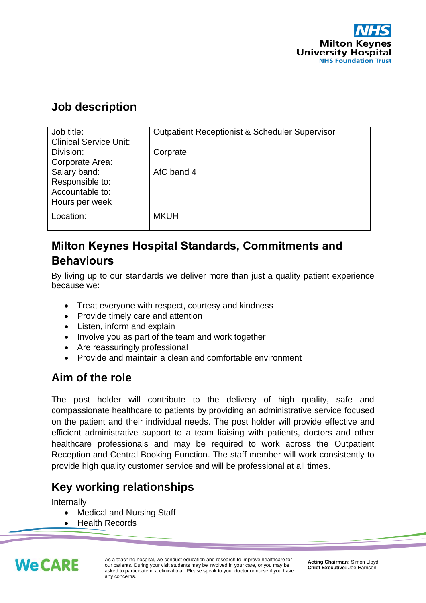

#### **Job description**

| Job title:                    | <b>Outpatient Receptionist &amp; Scheduler Supervisor</b> |
|-------------------------------|-----------------------------------------------------------|
| <b>Clinical Service Unit:</b> |                                                           |
| Division:                     | Corprate                                                  |
| Corporate Area:               |                                                           |
| Salary band:                  | AfC band 4                                                |
| Responsible to:               |                                                           |
| Accountable to:               |                                                           |
| Hours per week                |                                                           |
| Location:                     | <b>MKUH</b>                                               |

#### **Milton Keynes Hospital Standards, Commitments and Behaviours**

By living up to our standards we deliver more than just a quality patient experience because we:

- Treat everyone with respect, courtesy and kindness
- Provide timely care and attention
- Listen, inform and explain
- Involve you as part of the team and work together
- Are reassuringly professional
- Provide and maintain a clean and comfortable environment

#### **Aim of the role**

The post holder will contribute to the delivery of high quality, safe and compassionate healthcare to patients by providing an administrative service focused on the patient and their individual needs. The post holder will provide effective and efficient administrative support to a team liaising with patients, doctors and other healthcare professionals and may be required to work across the Outpatient Reception and Central Booking Function. The staff member will work consistently to provide high quality customer service and will be professional at all times.

# **Key working relationships**

Internally

- Medical and Nursing Staff
- Health Records



As a teaching hospital, we conduct education and research to improve healthcare for our patients. During your visit students may be involved in your care, or you may be asked to participate in a clinical trial. Please speak to your doctor or nurse if you have any concerns.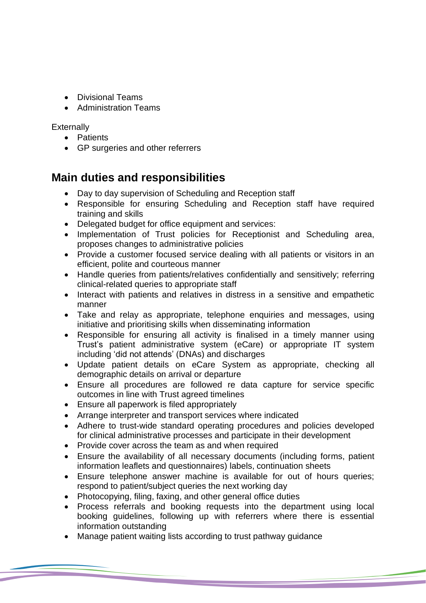- Divisional Teams
- Administration Teams

**Externally** 

- Patients
- GP surgeries and other referrers

#### **Main duties and responsibilities**

- Day to day supervision of Scheduling and Reception staff
- Responsible for ensuring Scheduling and Reception staff have required training and skills
- Delegated budget for office equipment and services:
- Implementation of Trust policies for Receptionist and Scheduling area, proposes changes to administrative policies
- Provide a customer focused service dealing with all patients or visitors in an efficient, polite and courteous manner
- Handle queries from patients/relatives confidentially and sensitively; referring clinical-related queries to appropriate staff
- Interact with patients and relatives in distress in a sensitive and empathetic manner
- Take and relay as appropriate, telephone enquiries and messages, using initiative and prioritising skills when disseminating information
- Responsible for ensuring all activity is finalised in a timely manner using Trust's patient administrative system (eCare) or appropriate IT system including 'did not attends' (DNAs) and discharges
- Update patient details on eCare System as appropriate, checking all demographic details on arrival or departure
- Ensure all procedures are followed re data capture for service specific outcomes in line with Trust agreed timelines
- Ensure all paperwork is filed appropriately
- Arrange interpreter and transport services where indicated
- Adhere to trust-wide standard operating procedures and policies developed for clinical administrative processes and participate in their development
- Provide cover across the team as and when required
- Ensure the availability of all necessary documents (including forms, patient information leaflets and questionnaires) labels, continuation sheets
- Ensure telephone answer machine is available for out of hours queries; respond to patient/subject queries the next working day
- Photocopying, filing, faxing, and other general office duties
- Process referrals and booking requests into the department using local booking guidelines, following up with referrers where there is essential information outstanding
- Manage patient waiting lists according to trust pathway guidance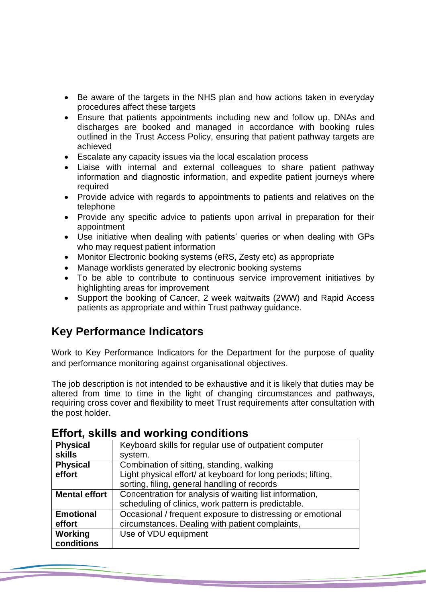- Be aware of the targets in the NHS plan and how actions taken in everyday procedures affect these targets
- Ensure that patients appointments including new and follow up, DNAs and discharges are booked and managed in accordance with booking rules outlined in the Trust Access Policy, ensuring that patient pathway targets are achieved
- Escalate any capacity issues via the local escalation process
- Liaise with internal and external colleagues to share patient pathway information and diagnostic information, and expedite patient journeys where required
- Provide advice with regards to appointments to patients and relatives on the telephone
- Provide any specific advice to patients upon arrival in preparation for their appointment
- Use initiative when dealing with patients' queries or when dealing with GPs who may request patient information
- Monitor Electronic booking systems (eRS, Zesty etc) as appropriate
- Manage worklists generated by electronic booking systems
- To be able to contribute to continuous service improvement initiatives by highlighting areas for improvement
- Support the booking of Cancer, 2 week waitwaits (2WW) and Rapid Access patients as appropriate and within Trust pathway guidance.

## **Key Performance Indicators**

Work to Key Performance Indicators for the Department for the purpose of quality and performance monitoring against organisational objectives.

The job description is not intended to be exhaustive and it is likely that duties may be altered from time to time in the light of changing circumstances and pathways, requiring cross cover and flexibility to meet Trust requirements after consultation with the post holder.

| <b>Physical</b>      | Keyboard skills for regular use of outpatient computer        |
|----------------------|---------------------------------------------------------------|
| <b>skills</b>        | system.                                                       |
| <b>Physical</b>      | Combination of sitting, standing, walking                     |
| effort               | Light physical effort/ at keyboard for long periods; lifting, |
|                      | sorting, filing, general handling of records                  |
| <b>Mental effort</b> | Concentration for analysis of waiting list information,       |
|                      | scheduling of clinics, work pattern is predictable.           |
| <b>Emotional</b>     | Occasional / frequent exposure to distressing or emotional    |
| effort               | circumstances. Dealing with patient complaints,               |
| Working              | Use of VDU equipment                                          |
| conditions           |                                                               |

#### **Effort, skills and working conditions**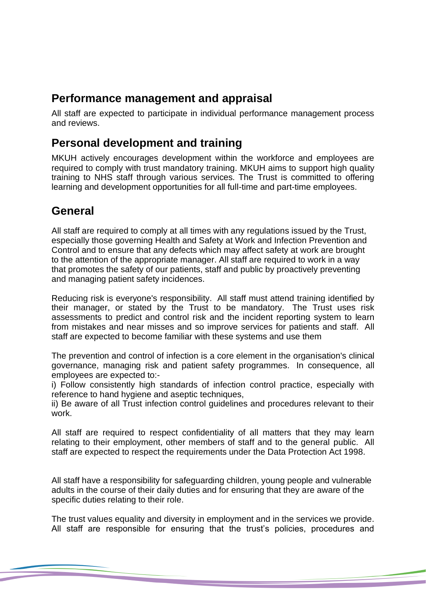## **Performance management and appraisal**

All staff are expected to participate in individual performance management process and reviews.

#### **Personal development and training**

MKUH actively encourages development within the workforce and employees are required to comply with trust mandatory training. MKUH aims to support high quality training to NHS staff through various services. The Trust is committed to offering learning and development opportunities for all full-time and part-time employees.

## **General**

All staff are required to comply at all times with any regulations issued by the Trust, especially those governing Health and Safety at Work and Infection Prevention and Control and to ensure that any defects which may affect safety at work are brought to the attention of the appropriate manager. All staff are required to work in a way that promotes the safety of our patients, staff and public by proactively preventing and managing patient safety incidences.

Reducing risk is everyone's responsibility. All staff must attend training identified by their manager, or stated by the Trust to be mandatory. The Trust uses risk assessments to predict and control risk and the incident reporting system to learn from mistakes and near misses and so improve services for patients and staff. All staff are expected to become familiar with these systems and use them

The prevention and control of infection is a core element in the organisation's clinical governance, managing risk and patient safety programmes. In consequence, all employees are expected to:-

i) Follow consistently high standards of infection control practice, especially with reference to hand hygiene and aseptic techniques,

ii) Be aware of all Trust infection control guidelines and procedures relevant to their work.

All staff are required to respect confidentiality of all matters that they may learn relating to their employment, other members of staff and to the general public. All staff are expected to respect the requirements under the Data Protection Act 1998.

All staff have a responsibility for safeguarding children, young people and vulnerable adults in the course of their daily duties and for ensuring that they are aware of the specific duties relating to their role.

The trust values equality and diversity in employment and in the services we provide. All staff are responsible for ensuring that the trust's policies, procedures and